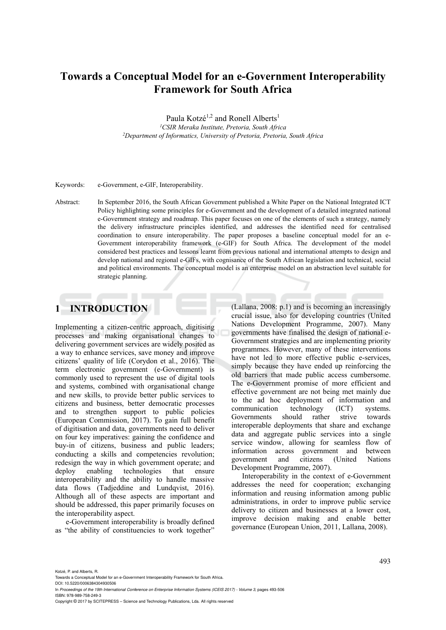# **Towards a Conceptual Model for an e-Government Interoperability Framework for South Africa**

Paula Kotzé<sup>1,2</sup> and Ronell Alberts<sup>1</sup> *1CSIR Meraka Institute, Pretoria, South Africa 2Department of Informatics, University of Pretoria, Pretoria, South Africa* 

Keywords: e-Government, e-GIF, Interoperability.

Abstract: In September 2016, the South African Government published a White Paper on the National Integrated ICT Policy highlighting some principles for e-Government and the development of a detailed integrated national e-Government strategy and roadmap. This paper focuses on one of the elements of such a strategy, namely the delivery infrastructure principles identified, and addresses the identified need for centralised coordination to ensure interoperability. The paper proposes a baseline conceptual model for an e-Government interoperability framework (e-GIF) for South Africa. The development of the model considered best practices and lessons learnt from previous national and international attempts to design and develop national and regional e-GIFs, with cognisance of the South African legislation and technical, social and political environments. The conceptual model is an enterprise model on an abstraction level suitable for strategic planning.

# **1 INTRODUCTION**

Implementing a citizen-centric approach, digitising processes and making organisational changes to delivering government services are widely posited as a way to enhance services, save money and improve citizens' quality of life (Corydon et al., 2016). The term electronic government (e-Government) is commonly used to represent the use of digital tools and systems, combined with organisational change and new skills, to provide better public services to citizens and business, better democratic processes and to strengthen support to public policies (European Commission, 2017). To gain full benefit of digitisation and data, governments need to deliver on four key imperatives: gaining the confidence and buy-in of citizens, business and public leaders; conducting a skills and competencies revolution; redesign the way in which government operate; and deploy enabling technologies that ensure interoperability and the ability to handle massive data flows (Tadjeddine and Lundqvist, 2016). Although all of these aspects are important and should be addressed, this paper primarily focuses on the interoperability aspect.

e-Government interoperability is broadly defined as "the ability of constituencies to work together"

(Lallana, 2008: p.1) and is becoming an increasingly crucial issue, also for developing countries (United Nations Development Programme, 2007). Many governments have finalised the design of national e-Government strategies and are implementing priority programmes. However, many of these interventions have not led to more effective public e-services, simply because they have ended up reinforcing the old barriers that made public access cumbersome. The e-Government promise of more efficient and effective government are not being met mainly due to the ad hoc deployment of information and communication technology (ICT) systems. Governments should rather strive towards interoperable deployments that share and exchange data and aggregate public services into a single service window, allowing for seamless flow of information across government and between government and citizens (United Nations Development Programme, 2007).

Interoperability in the context of e-Government addresses the need for cooperation; exchanging information and reusing information among public administrations, in order to improve public service delivery to citizen and businesses at a lower cost, improve decision making and enable better governance (European Union, 2011, Lallana, 2008).

Kotzé, P. and Alberts, R.

DOI: 10.5220/0006384304930506 In *Proceedings of the 19th International Conference on Enterprise Information Systems (ICEIS 2017) - Volume 3*, pages 493-506

ISBN: 978-989-758-249-3

Towards a Conceptual Model for an e-Government Interoperability Framework for South Africa.

Copyright © 2017 by SCITEPRESS – Science and Technology Publications, Lda. All rights reserved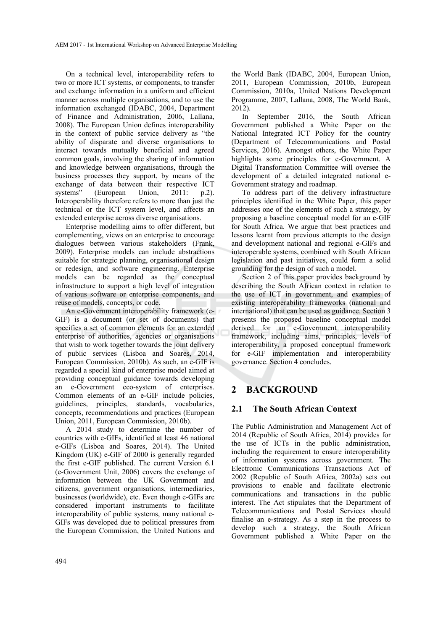On a technical level, interoperability refers to two or more ICT systems, or components, to transfer and exchange information in a uniform and efficient manner across multiple organisations, and to use the information exchanged (IDABC, 2004, Department of Finance and Administration, 2006, Lallana, 2008). The European Union defines interoperability in the context of public service delivery as "the ability of disparate and diverse organisations to interact towards mutually beneficial and agreed common goals, involving the sharing of information and knowledge between organisations, through the business processes they support, by means of the exchange of data between their respective ICT systems" (European Union, 2011: p.2). Interoperability therefore refers to more than just the technical or the ICT system level, and affects an extended enterprise across diverse organisations.

Enterprise modelling aims to offer different, but complementing, views on an enterprise to encourage dialogues between various stakeholders (Frank, 2009). Enterprise models can include abstractions suitable for strategic planning, organisational design or redesign, and software engineering. Enterprise models can be regarded as the conceptual infrastructure to support a high level of integration of various software or enterprise components, and reuse of models, concepts, or code.

An e-Government interoperability framework (e-GIF) is a document (or set of documents) that specifies a set of common elements for an extended enterprise of authorities, agencies or organisations that wish to work together towards the joint delivery of public services (Lisboa and Soares, 2014, European Commission, 2010b). As such, an e-GIF is regarded a special kind of enterprise model aimed at providing conceptual guidance towards developing an e-Government eco-system of enterprises. Common elements of an e-GIF include policies, guidelines, principles, standards, vocabularies, concepts, recommendations and practices (European Union, 2011, European Commission, 2010b).

A 2014 study to determine the number of countries with e-GIFs, identified at least 46 national e-GIFs (Lisboa and Soares, 2014). The United Kingdom (UK) e-GIF of 2000 is generally regarded the first e-GIF published. The current Version 6.1 (e-Government Unit, 2006) covers the exchange of information between the UK Government and citizens, government organisations, intermediaries, businesses (worldwide), etc. Even though e-GIFs are considered important instruments to facilitate interoperability of public systems, many national e-GIFs was developed due to political pressures from the European Commission, the United Nations and

the World Bank (IDABC, 2004, European Union, 2011, European Commission, 2010b, European Commission, 2010a, United Nations Development Programme, 2007, Lallana, 2008, The World Bank, 2012).

In September 2016, the South African Government published a White Paper on the National Integrated ICT Policy for the country (Department of Telecommunications and Postal Services, 2016). Amongst others, the White Paper highlights some principles for e-Government. A Digital Transformation Committee will oversee the development of a detailed integrated national e-Government strategy and roadmap.

To address part of the delivery infrastructure principles identified in the White Paper, this paper addresses one of the elements of such a strategy, by proposing a baseline conceptual model for an e-GIF for South Africa. We argue that best practices and lessons learnt from previous attempts to the design and development national and regional e-GIFs and interoperable systems, combined with South African legislation and past initiatives, could form a solid grounding for the design of such a model.

Section 2 of this paper provides background by describing the South African context in relation to the use of ICT in government, and examples of existing interoperability frameworks (national and international) that can be used as guidance. Section 3 presents the proposed baseline conceptual model derived for an e-Government interoperability framework, including aims, principles, levels of interoperability, a proposed conceptual framework for e-GIF implementation and interoperability governance. Section 4 concludes.

# **2 BACKGROUND**

## **2.1 The South African Context**

The Public Administration and Management Act of 2014 (Republic of South Africa, 2014) provides for the use of ICTs in the public administration, including the requirement to ensure interoperability of information systems across government. The Electronic Communications Transactions Act of 2002 (Republic of South Africa, 2002a) sets out provisions to enable and facilitate electronic communications and transactions in the public interest. The Act stipulates that the Department of Telecommunications and Postal Services should finalise an e-strategy. As a step in the process to develop such a strategy, the South African Government published a White Paper on the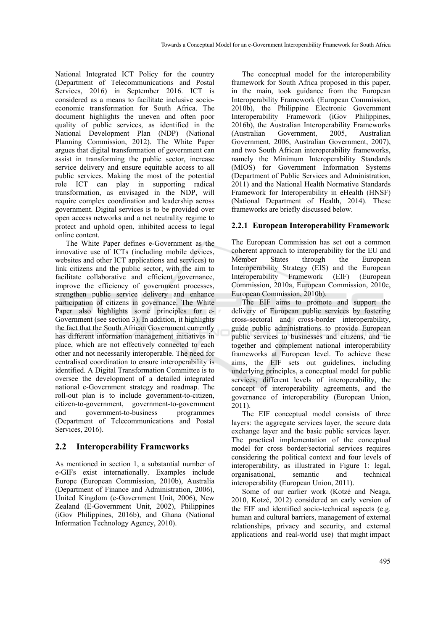National Integrated ICT Policy for the country (Department of Telecommunications and Postal Services, 2016) in September 2016. ICT is considered as a means to facilitate inclusive socioeconomic transformation for South Africa. The document highlights the uneven and often poor quality of public services, as identified in the National Development Plan (NDP) (National Planning Commission, 2012). The White Paper argues that digital transformation of government can assist in transforming the public sector, increase service delivery and ensure equitable access to all public services. Making the most of the potential role ICT can play in supporting radical transformation, as envisaged in the NDP, will require complex coordination and leadership across government. Digital services is to be provided over open access networks and a net neutrality regime to protect and uphold open, inhibited access to legal online content.

The White Paper defines e-Government as the innovative use of ICTs (including mobile devices, websites and other ICT applications and services) to link citizens and the public sector, with the aim to facilitate collaborative and efficient governance, improve the efficiency of government processes, strengthen public service delivery and enhance participation of citizens in governance. The White Paper also highlights some principles for e-Government (see section 3). In addition, it highlights the fact that the South African Government currently has different information management initiatives in place, which are not effectively connected to each other and not necessarily interoperable. The need for centralised coordination to ensure interoperability is identified. A Digital Transformation Committee is to oversee the development of a detailed integrated national e-Government strategy and roadmap. The roll-out plan is to include government-to-citizen, citizen-to-government, government-to-government and government-to-business programmes (Department of Telecommunications and Postal Services, 2016).

## **2.2 Interoperability Frameworks**

As mentioned in section 1, a substantial number of e-GIFs exist internationally. Examples include Europe (European Commission, 2010b), Australia (Department of Finance and Administration, 2006), United Kingdom (e-Government Unit, 2006), New Zealand (E-Government Unit, 2002), Philippines (iGov Philippines, 2016b), and Ghana (National Information Technology Agency, 2010).

The conceptual model for the interoperability framework for South Africa proposed in this paper, in the main, took guidance from the European Interoperability Framework (European Commission, 2010b), the Philippine Electronic Government Interoperability Framework (iGov Philippines, 2016b), the Australian Interoperability Frameworks (Australian Government, 2005, Australian Government, 2006, Australian Government, 2007), and two South African interoperability frameworks, namely the Minimum Interoperability Standards (MIOS) for Government Information Systems (Department of Public Services and Administration, 2011) and the National Health Normative Standards Framework for Interoperability in eHealth (HNSF) (National Department of Health, 2014). These frameworks are briefly discussed below.

### **2.2.1 European Interoperability Framework**

The European Commission has set out a common coherent approach to interoperability for the EU and Member States through the European Interoperability Strategy (EIS) and the European Interoperability Framework (EIF) (European Commission, 2010a, European Commission, 2010c, European Commission, 2010b).

The EIF aims to promote and support the delivery of European public services by fostering cross-sectoral and cross-border interoperability, guide public administrations to provide European public services to businesses and citizens, and tie together and complement national interoperability frameworks at European level. To achieve these aims, the EIF sets out guidelines, including underlying principles, a conceptual model for public services, different levels of interoperability, the concept of interoperability agreements, and the governance of interoperability (European Union, 2011).

The EIF conceptual model consists of three layers: the aggregate services layer, the secure data exchange layer and the basic public services layer. The practical implementation of the conceptual model for cross border/sectorial services requires considering the political context and four levels of interoperability, as illustrated in Figure 1: legal, organisational, semantic and technical interoperability (European Union, 2011).

Some of our earlier work (Kotzé and Neaga, 2010, Kotzé, 2012) considered an early version of the EIF and identified socio-technical aspects (e.g. human and cultural barriers, management of external relationships, privacy and security, and external applications and real-world use) that might impact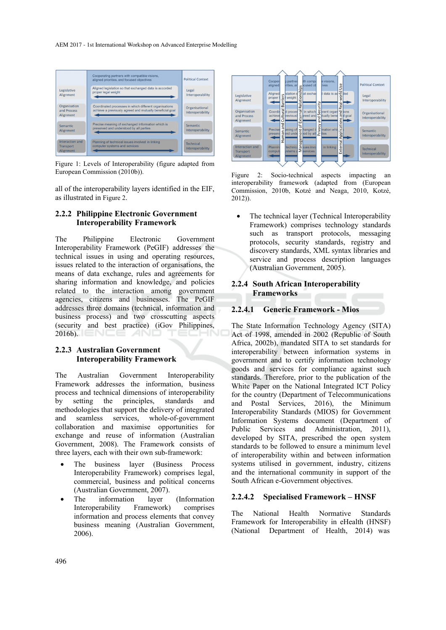AEM 2017 - 1st International Workshop on Advanced Enterprise Modelling



Figure 1: Levels of Interoperability (figure adapted from European Commission (2010b)).

all of the interoperability layers identified in the EIF, as illustrated in Figure 2.

### **2.2.2 Philippine Electronic Government Interoperability Framework**

The Philippine Electronic Government Interoperability Framework (PeGIF) addresses the technical issues in using and operating resources, issues related to the interaction of organisations, the means of data exchange, rules and agreements for sharing information and knowledge, and policies related to the interaction among government agencies, citizens and businesses. The PeGIF addresses three domains (technical, information and business process) and two crosscutting aspects (security and best practice) (iGov Philippines,  $2016b$ .

#### **2.2.3 Australian Government Interoperability Framework**

The Australian Government Interoperability Framework addresses the information, business process and technical dimensions of interoperability by setting the principles, standards and methodologies that support the delivery of integrated and seamless services, whole-of-government collaboration and maximise opportunities for exchange and reuse of information (Australian Government, 2008). The Framework consists of three layers, each with their own sub-framework:

- The business layer (Business Process Interoperability Framework) comprises legal, commercial, business and political concerns (Australian Government, 2007).
- The information layer (Information Interoperability Framework) comprises information and process elements that convey business meaning (Australian Government, 2006).



Figure 2: Socio-technical aspects impacting an interoperability framework (adapted from (European Commission, 2010b, Kotzé and Neaga, 2010, Kotzé, 2012)).

The technical layer (Technical Interoperability Framework) comprises technology standards such as transport protocols, messaging protocols, security standards, registry and discovery standards, XML syntax libraries and service and process description languages (Australian Government, 2005).

### **2.2.4 South African Interoperability Frameworks**

### **2.2.4.1 Generic Framework - Mios**

The State Information Technology Agency (SITA) Act of 1998, amended in 2002 (Republic of South Africa, 2002b), mandated SITA to set standards for interoperability between information systems in government and to certify information technology goods and services for compliance against such standards. Therefore, prior to the publication of the White Paper on the National Integrated ICT Policy for the country (Department of Telecommunications and Postal Services, 2016), the Minimum Interoperability Standards (MIOS) for Government Information Systems document (Department of Public Services and Administration, 2011), developed by SITA, prescribed the open system standards to be followed to ensure a minimum level of interoperability within and between information systems utilised in government, industry, citizens and the international community in support of the South African e-Government objectives.

## **2.2.4.2 Specialised Framework – HNSF**

The National Health Normative Standards Framework for Interoperability in eHealth (HNSF) (National Department of Health, 2014) was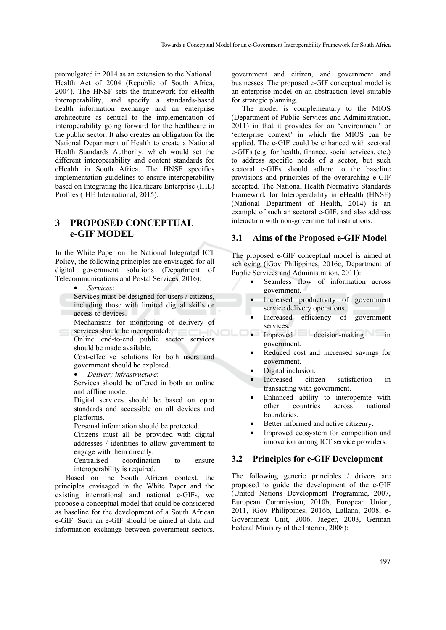promulgated in 2014 as an extension to the National Health Act of 2004 (Republic of South Africa, 2004). The HNSF sets the framework for eHealth interoperability, and specify a standards-based health information exchange and an enterprise architecture as central to the implementation of interoperability going forward for the healthcare in the public sector. It also creates an obligation for the National Department of Health to create a National Health Standards Authority, which would set the different interoperability and content standards for eHealth in South Africa. The HNSF specifies implementation guidelines to ensure interoperability based on Integrating the Healthcare Enterprise (IHE) Profiles (IHE International, 2015).

## **3 PROPOSED CONCEPTUAL e-GIF MODEL**

In the White Paper on the National Integrated ICT Policy, the following principles are envisaged for all digital government solutions (Department of Telecommunications and Postal Services, 2016):

- *Services*:
- Services must be designed for users / citizens, including those with limited digital skills or access to devices.

Mechanisms for monitoring of delivery of services should be incorporated. **JIN** 

Online end-to-end public sector services should be made available.

Cost-effective solutions for both users and government should be explored.

• *Delivery infrastructure*:

Services should be offered in both an online and offline mode.

Digital services should be based on open standards and accessible on all devices and platforms.

Personal information should be protected.

Citizens must all be provided with digital addresses / identities to allow government to engage with them directly.

Centralised coordination to ensure interoperability is required.

Based on the South African context, the principles envisaged in the White Paper and the existing international and national e-GIFs, we propose a conceptual model that could be considered as baseline for the development of a South African e-GIF. Such an e-GIF should be aimed at data and information exchange between government sectors,

government and citizen, and government and businesses. The proposed e-GIF conceptual model is an enterprise model on an abstraction level suitable for strategic planning.

The model is complementary to the MIOS (Department of Public Services and Administration, 2011) in that it provides for an 'environment' or 'enterprise context' in which the MIOS can be applied. The e-GIF could be enhanced with sectoral e-GIFs (e.g. for health, finance, social services, etc.) to address specific needs of a sector, but such sectoral e-GIFs should adhere to the baseline provisions and principles of the overarching e-GIF accepted. The National Health Normative Standards Framework for Interoperability in eHealth (HNSF) (National Department of Health, 2014) is an example of such an sectoral e-GIF, and also address interaction with non-governmental institutions.

#### **3.1 Aims of the Proposed e-GIF Model**

The proposed e-GIF conceptual model is aimed at achieving (iGov Philippines, 2016c, Department of Public Services and Administration, 2011):

- Seamless flow of information across government.
- Increased productivity of government service delivery operations.
- Increased efficiency of government services.
- Improved decision-making in government.
- Reduced cost and increased savings for government.
- Digital inclusion.
- Increased citizen satisfaction in transacting with government.
- Enhanced ability to interoperate with other countries across national boundaries.
- Better informed and active citizenry.
- Improved ecosystem for competition and innovation among ICT service providers.

#### **3.2 Principles for e-GIF Development**

The following generic principles / drivers are proposed to guide the development of the e-GIF (United Nations Development Programme, 2007, European Commission, 2010b, European Union, 2011, iGov Philippines, 2016b, Lallana, 2008, e-Government Unit, 2006, Jaeger, 2003, German Federal Ministry of the Interior, 2008):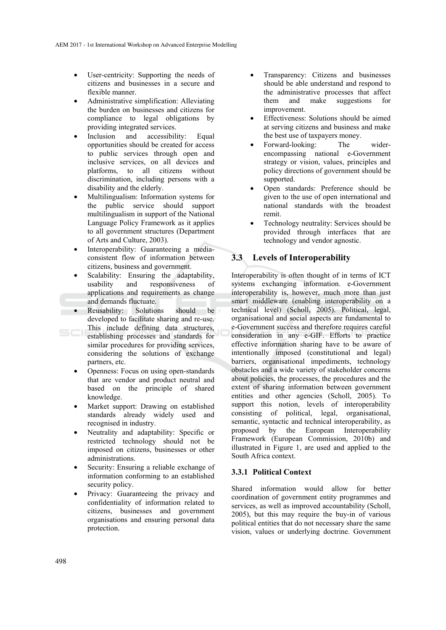- User-centricity: Supporting the needs of citizens and businesses in a secure and flexible manner.
- Administrative simplification: Alleviating the burden on businesses and citizens for compliance to legal obligations by providing integrated services.
- Inclusion and accessibility: Equal opportunities should be created for access to public services through open and inclusive services, on all devices and platforms, to all citizens without discrimination, including persons with a disability and the elderly.
- Multilingualism: Information systems for the public service should support multilingualism in support of the National Language Policy Framework as it applies to all government structures (Department of Arts and Culture, 2003).
- Interoperability: Guaranteeing a mediaconsistent flow of information between citizens, business and government.
- Scalability: Ensuring the adaptability usability and responsiveness of applications and requirements as change and demands fluctuate.
- Reusability: Solutions should be developed to facilitate sharing and re-use. This include defining data structures, establishing processes and standards for similar procedures for providing services, considering the solutions of exchange partners, etc.
- Openness: Focus on using open-standards that are vendor and product neutral and based on the principle of shared knowledge.
- Market support: Drawing on established standards already widely used and recognised in industry.
- Neutrality and adaptability: Specific or restricted technology should not be imposed on citizens, businesses or other administrations.
- Security: Ensuring a reliable exchange of information conforming to an established security policy.
- Privacy: Guaranteeing the privacy and confidentiality of information related to citizens, businesses and government organisations and ensuring personal data protection.
- Transparency: Citizens and businesses should be able understand and respond to the administrative processes that affect them and make suggestions for improvement.
- Effectiveness: Solutions should be aimed at serving citizens and business and make the best use of taxpayers money.
- Forward-looking: The widerencompassing national e-Government strategy or vision, values, principles and policy directions of government should be supported.
- Open standards: Preference should be given to the use of open international and national standards with the broadest remit.
- Technology neutrality: Services should be provided through interfaces that are technology and vendor agnostic.

## **3.3 Levels of Interoperability**

Interoperability is often thought of in terms of ICT systems exchanging information. e-Government interoperability is, however, much more than just smart middleware (enabling interoperability on a technical level) (Scholl, 2005). Political, legal, organisational and social aspects are fundamental to e-Government success and therefore requires careful consideration in any e-GIF. Efforts to practice effective information sharing have to be aware of intentionally imposed (constitutional and legal) barriers, organisational impediments, technology obstacles and a wide variety of stakeholder concerns about policies, the processes, the procedures and the extent of sharing information between government entities and other agencies (Scholl, 2005). To support this notion, levels of interoperability consisting of political, legal, organisational, semantic, syntactic and technical interoperability, as proposed by the European Interoperability Framework (European Commission, 2010b) and illustrated in Figure 1, are used and applied to the South Africa context.

#### **3.3.1 Political Context**

Shared information would allow for better coordination of government entity programmes and services, as well as improved accountability (Scholl, 2005), but this may require the buy-in of various political entities that do not necessary share the same vision, values or underlying doctrine. Government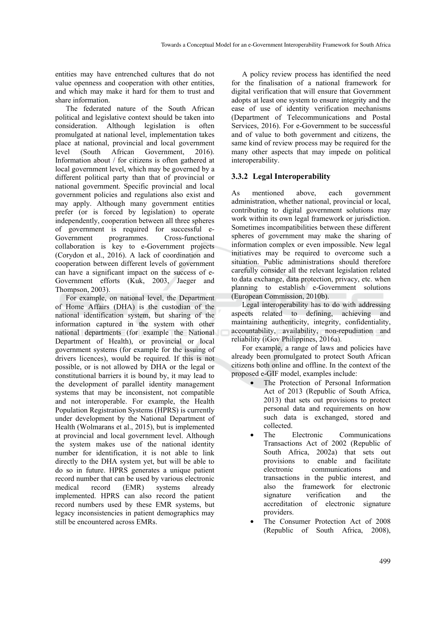entities may have entrenched cultures that do not value openness and cooperation with other entities, and which may make it hard for them to trust and share information.

The federated nature of the South African political and legislative context should be taken into consideration. Although legislation is often promulgated at national level, implementation takes place at national, provincial and local government level (South African Government, 2016). Information about / for citizens is often gathered at local government level, which may be governed by a different political party than that of provincial or national government. Specific provincial and local government policies and regulations also exist and may apply. Although many government entities prefer (or is forced by legislation) to operate independently, cooperation between all three spheres of government is required for successful e-Government programmes. Cross-functional collaboration is key to e-Government projects (Corydon et al., 2016). A lack of coordination and cooperation between different levels of government can have a significant impact on the success of e-Government efforts (Kuk, 2003, Jaeger and Thompson, 2003).

For example, on national level, the Department of Home Affairs (DHA) is the custodian of the national identification system, but sharing of the information captured in the system with other national departments (for example the National Department of Health), or provincial or local government systems (for example for the issuing of drivers licences), would be required. If this is not possible, or is not allowed by DHA or the legal or constitutional barriers it is bound by, it may lead to the development of parallel identity management systems that may be inconsistent, not compatible and not interoperable. For example, the Health Population Registration Systems (HPRS) is currently under development by the National Department of Health (Wolmarans et al., 2015), but is implemented at provincial and local government level. Although the system makes use of the national identity number for identification, it is not able to link directly to the DHA system yet, but will be able to do so in future. HPRS generates a unique patient record number that can be used by various electronic medical record (EMR) systems already implemented. HPRS can also record the patient record numbers used by these EMR systems, but legacy inconsistencies in patient demographics may still be encountered across EMRs.

A policy review process has identified the need for the finalisation of a national framework for digital verification that will ensure that Government adopts at least one system to ensure integrity and the ease of use of identity verification mechanisms (Department of Telecommunications and Postal Services, 2016). For e-Government to be successful and of value to both government and citizens, the same kind of review process may be required for the many other aspects that may impede on political interoperability.

#### **3.3.2 Legal Interoperability**

As mentioned above, each government administration, whether national, provincial or local, contributing to digital government solutions may work within its own legal framework or jurisdiction. Sometimes incompatibilities between these different spheres of government may make the sharing of information complex or even impossible. New legal initiatives may be required to overcome such a situation. Public administrations should therefore carefully consider all the relevant legislation related to data exchange, data protection, privacy, etc. when planning to establish e-Government solutions (European Commission, 2010b).

Legal interoperability has to do with addressing aspects related to defining, achieving and maintaining authenticity, integrity, confidentiality, accountability, availability, non-repudiation and reliability (iGov Philippines, 2016a).

For example, a range of laws and policies have already been promulgated to protect South African citizens both online and offline. In the context of the proposed e-GIF model, examples include:

- The Protection of Personal Information Act of 2013 (Republic of South Africa, 2013) that sets out provisions to protect personal data and requirements on how such data is exchanged, stored and collected.
- The Electronic Communications Transactions Act of 2002 (Republic of South Africa, 2002a) that sets out provisions to enable and facilitate electronic communications and transactions in the public interest, and also the framework for electronic signature verification and the accreditation of electronic signature providers.
- The Consumer Protection Act of 2008 (Republic of South Africa, 2008),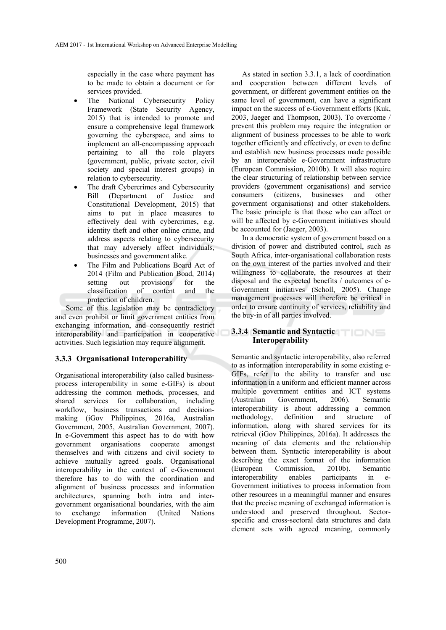especially in the case where payment has to be made to obtain a document or for services provided.

- The National Cybersecurity Policy Framework (State Security Agency, 2015) that is intended to promote and ensure a comprehensive legal framework governing the cyberspace, and aims to implement an all-encompassing approach pertaining to all the role players (government, public, private sector, civil society and special interest groups) in relation to cybersecurity.
- The draft Cybercrimes and Cybersecurity Bill (Department of Justice and Constitutional Development, 2015) that aims to put in place measures to effectively deal with cybercrimes, e.g. identity theft and other online crime, and address aspects relating to cybersecurity that may adversely affect individuals, businesses and government alike.
- The Film and Publications Board Act of 2014 (Film and Publication Boad, 2014) setting out provisions for the<br>classification of content and the classification of content and protection of children.

Some of this legislation may be contradictory and even prohibit or limit government entities from exchanging information, and consequently restrict interoperability and participation in cooperative activities. Such legislation may require alignment.

## **3.3.3 Organisational Interoperability**

Organisational interoperability (also called businessprocess interoperability in some e-GIFs) is about addressing the common methods, processes, and shared services for collaboration, including workflow, business transactions and decisionmaking (iGov Philippines, 2016a, Australian Government, 2005, Australian Government, 2007). In e-Government this aspect has to do with how government organisations cooperate amongst themselves and with citizens and civil society to achieve mutually agreed goals. Organisational interoperability in the context of e-Government therefore has to do with the coordination and alignment of business processes and information architectures, spanning both intra and intergovernment organisational boundaries, with the aim to exchange information (United Nations Development Programme, 2007).

As stated in section 3.3.1, a lack of coordination and cooperation between different levels of government, or different government entities on the same level of government, can have a significant impact on the success of e-Government efforts (Kuk, 2003, Jaeger and Thompson, 2003). To overcome / prevent this problem may require the integration or alignment of business processes to be able to work together efficiently and effectively, or even to define and establish new business processes made possible by an interoperable e-Government infrastructure (European Commission, 2010b). It will also require the clear structuring of relationship between service providers (government organisations) and service consumers (citizens, businesses and other government organisations) and other stakeholders. The basic principle is that those who can affect or will be affected by e-Government initiatives should be accounted for (Jaeger, 2003).

In a democratic system of government based on a division of power and distributed control, such as South Africa, inter-organisational collaboration rests on the own interest of the parties involved and their willingness to collaborate, the resources at their disposal and the expected benefits / outcomes of e-Government initiatives (Scholl, 2005). Change management processes will therefore be critical in order to ensure continuity of services, reliability and the buy-in of all parties involved.

#### **3.3.4 Semantic and Syntactic Interoperability**

Semantic and syntactic interoperability, also referred to as information interoperability in some existing e-GIFs, refer to the ability to transfer and use information in a uniform and efficient manner across multiple government entities and ICT systems<br>(Australian Government 2006). Semantic  $(A$ ustralian Government.  $2006$ . interoperability is about addressing a common methodology, definition and structure of information, along with shared services for its retrieval (iGov Philippines, 2016a). It addresses the meaning of data elements and the relationship between them. Syntactic interoperability is about describing the exact format of the information (European Commission, 2010b). Semantic interoperability enables participants in e-Government initiatives to process information from other resources in a meaningful manner and ensures that the precise meaning of exchanged information is understood and preserved throughout. Sectorspecific and cross-sectoral data structures and data element sets with agreed meaning, commonly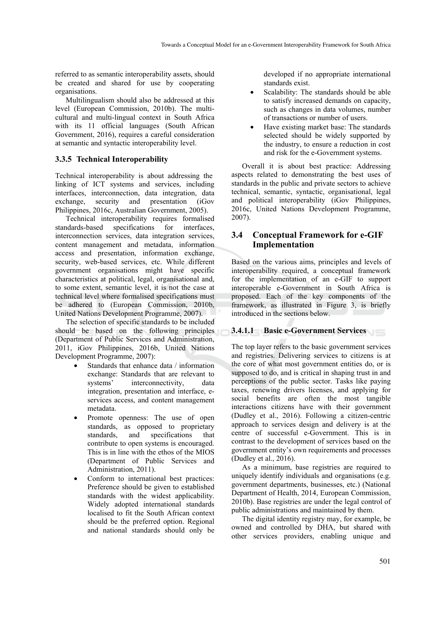referred to as semantic interoperability assets, should be created and shared for use by cooperating organisations.

Multilingualism should also be addressed at this level (European Commission, 2010b). The multicultural and multi-lingual context in South Africa with its 11 official languages (South African Government, 2016), requires a careful consideration at semantic and syntactic interoperability level.

#### **3.3.5 Technical Interoperability**

Technical interoperability is about addressing the linking of ICT systems and services, including interfaces, interconnection, data integration, data exchange, security and presentation (iGov Philippines, 2016c, Australian Government, 2005).

Technical interoperability requires formalised standards-based specifications for interfaces, interconnection services, data integration services, content management and metadata, information access and presentation, information exchange, security, web-based services, etc. While different government organisations might have specific characteristics at political, legal, organisational and, to some extent, semantic level, it is not the case at technical level where formalised specifications must be adhered to (European Commission, 2010b, United Nations Development Programme, 2007).

The selection of specific standards to be included should be based on the following principles (Department of Public Services and Administration, 2011, iGov Philippines, 2016b, United Nations Development Programme, 2007):

- Standards that enhance data / information exchange: Standards that are relevant to<br>systems' interconnectivity. data interconnectivity, data integration, presentation and interface, eservices access, and content management metadata.
- Promote openness: The use of open standards, as opposed to proprietary standards, and specifications that contribute to open systems is encouraged. This is in line with the ethos of the MIOS (Department of Public Services and Administration, 2011).
- Conform to international best practices: Preference should be given to established standards with the widest applicability. Widely adopted international standards localised to fit the South African context should be the preferred option. Regional and national standards should only be

developed if no appropriate international standards exist.

- Scalability: The standards should be able to satisfy increased demands on capacity, such as changes in data volumes, number of transactions or number of users.
- Have existing market base: The standards selected should be widely supported by the industry, to ensure a reduction in cost and risk for the e-Government systems.

Overall it is about best practice: Addressing aspects related to demonstrating the best uses of standards in the public and private sectors to achieve technical, semantic, syntactic, organisational, legal and political interoperability (iGov Philippines, 2016c, United Nations Development Programme, 2007).

## **3.4 Conceptual Framework for e-GIF Implementation**

Based on the various aims, principles and levels of interoperability required, a conceptual framework for the implementation of an e-GIF to support interoperable e-Government in South Africa is proposed. Each of the key components of the framework, as illustrated in Figure 3, is briefly introduced in the sections below.

#### **3.4.1.1 Basic e-Government Services**

The top layer refers to the basic government services and registries. Delivering services to citizens is at the core of what most government entities do, or is supposed to do, and is critical in shaping trust in and perceptions of the public sector. Tasks like paying taxes, renewing drivers licenses, and applying for social benefits are often the most tangible interactions citizens have with their government (Dudley et al., 2016). Following a citizen-centric approach to services design and delivery is at the centre of successful e-Government. This is in contrast to the development of services based on the government entity's own requirements and processes (Dudley et al., 2016).

As a minimum, base registries are required to uniquely identify individuals and organisations (e.g. government departments, businesses, etc.) (National Department of Health, 2014, European Commission, 2010b). Base registries are under the legal control of public administrations and maintained by them.

The digital identity registry may, for example, be owned and controlled by DHA, but shared with other services providers, enabling unique and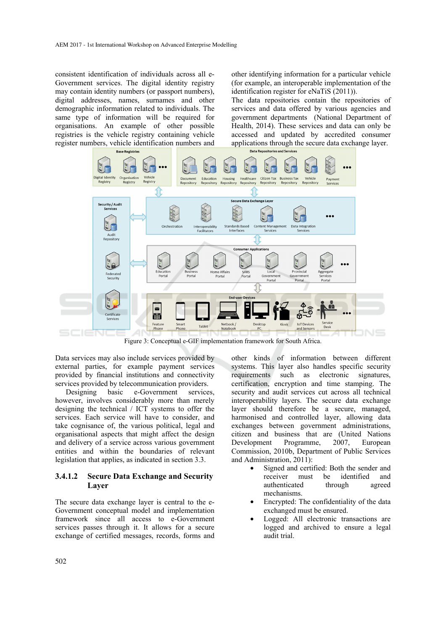consistent identification of individuals across all e-Government services. The digital identity registry may contain identity numbers (or passport numbers), digital addresses, names, surnames and other demographic information related to individuals. The same type of information will be required for organisations. An example of other possible registries is the vehicle registry containing vehicle register numbers, vehicle identification numbers and

other identifying information for a particular vehicle (for example, an interoperable implementation of the identification register for eNaTiS (2011)).

The data repositories contain the repositories of services and data offered by various agencies and government departments (National Department of Health, 2014). These services and data can only be accessed and updated by accredited consumer applications through the secure data exchange layer.



Figure 3: Conceptual e-GIF implementation framework for South Africa.

Data services may also include services provided by external parties, for example payment services provided by financial institutions and connectivity services provided by telecommunication providers.

Designing basic e-Government services, however, involves considerably more than merely designing the technical / ICT systems to offer the services. Each service will have to consider, and take cognisance of, the various political, legal and organisational aspects that might affect the design and delivery of a service across various government entities and within the boundaries of relevant legislation that applies, as indicated in section 3.3.

#### **3.4.1.2 Secure Data Exchange and Security Layer**

The secure data exchange layer is central to the e-Government conceptual model and implementation framework since all access to e-Government services passes through it. It allows for a secure exchange of certified messages, records, forms and

other kinds of information between different systems. This layer also handles specific security requirements such as electronic signatures, certification, encryption and time stamping. The security and audit services cut across all technical interoperability layers. The secure data exchange layer should therefore be a secure, managed, harmonised and controlled layer, allowing data exchanges between government administrations, citizen and business that are (United Nations Development Programme, 2007, European Commission, 2010b, Department of Public Services and Administration, 2011):

- Signed and certified: Both the sender and receiver must be identified and authenticated through agreed mechanisms.
- Encrypted: The confidentiality of the data exchanged must be ensured.
- Logged: All electronic transactions are logged and archived to ensure a legal audit trial.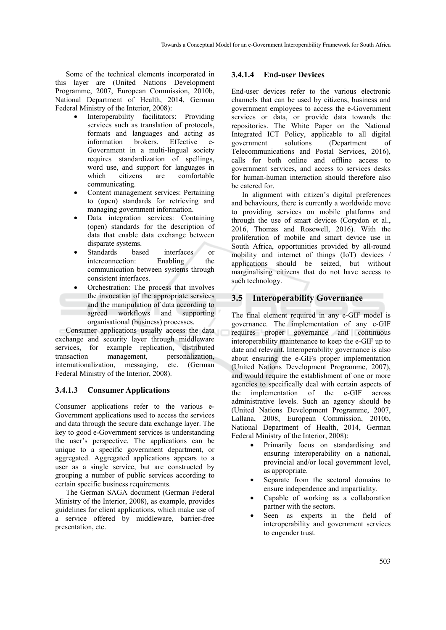Some of the technical elements incorporated in this layer are (United Nations Development Programme, 2007, European Commission, 2010b, National Department of Health, 2014, German Federal Ministry of the Interior, 2008):

- Interoperability facilitators: Providing services such as translation of protocols, formats and languages and acting as information brokers. Effective e-Government in a multi-lingual society requires standardization of spellings, word use, and support for languages in which citizens are comfortable communicating.
- Content management services: Pertaining to (open) standards for retrieving and managing government information.
- Data integration services: Containing (open) standards for the description of data that enable data exchange between disparate systems.
- Standards based interfaces or interconnection: Enabling the communication between systems through consistent interfaces.
- Orchestration: The process that involves the invocation of the appropriate services and the manipulation of data according to agreed workflows and supporting organisational (business) processes.

Consumer applications usually access the data exchange and security layer through middleware services, for example replication, distributed transaction management, personalization, internationalization, messaging, etc. (German Federal Ministry of the Interior, 2008).

#### **3.4.1.3 Consumer Applications**

Consumer applications refer to the various e-Government applications used to access the services and data through the secure data exchange layer. The key to good e-Government services is understanding the user's perspective. The applications can be unique to a specific government department, or aggregated. Aggregated applications appears to a user as a single service, but are constructed by grouping a number of public services according to certain specific business requirements.

The German SAGA document (German Federal Ministry of the Interior, 2008), as example, provides guidelines for client applications, which make use of a service offered by middleware, barrier-free presentation, etc.

#### **3.4.1.4 End-user Devices**

End-user devices refer to the various electronic channels that can be used by citizens, business and government employees to access the e-Government services or data, or provide data towards the repositories. The White Paper on the National Integrated ICT Policy, applicable to all digital government solutions (Department of Telecommunications and Postal Services, 2016), calls for both online and offline access to government services, and access to services desks for human-human interaction should therefore also be catered for

In alignment with citizen's digital preferences and behaviours, there is currently a worldwide move to providing services on mobile platforms and through the use of smart devices (Corydon et al., 2016, Thomas and Rosewell, 2016). With the proliferation of mobile and smart device use in South Africa, opportunities provided by all-round mobility and internet of things (IoT) devices / applications should be seized, but without marginalising citizens that do not have access to such technology.

### **3.5 Interoperability Governance**

The final element required in any e-GIF model is governance. The implementation of any e-GIF requires proper governance and continuous interoperability maintenance to keep the e-GIF up to date and relevant. Interoperability governance is also about ensuring the e-GIFs proper implementation (United Nations Development Programme, 2007), and would require the establishment of one or more agencies to specifically deal with certain aspects of the implementation of the e-GIF across administrative levels. Such an agency should be (United Nations Development Programme, 2007, Lallana, 2008, European Commission, 2010b, National Department of Health, 2014, German Federal Ministry of the Interior, 2008):

- Primarily focus on standardising and ensuring interoperability on a national, provincial and/or local government level, as appropriate.
- Separate from the sectoral domains to ensure independence and impartiality.
- Capable of working as a collaboration partner with the sectors.
- Seen as experts in the field of interoperability and government services to engender trust.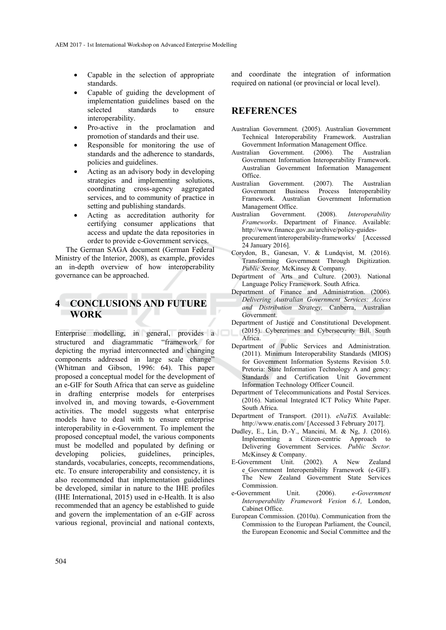- Capable in the selection of appropriate standards.
- Capable of guiding the development of implementation guidelines based on the selected standards to ensure interoperability.
- Pro-active in the proclamation and promotion of standards and their use.
- Responsible for monitoring the use of standards and the adherence to standards, policies and guidelines.
- Acting as an advisory body in developing strategies and implementing solutions, coordinating cross-agency aggregated services, and to community of practice in setting and publishing standards.
- Acting as accreditation authority for certifying consumer applications that access and update the data repositories in order to provide e-Government services.

The German SAGA document (German Federal Ministry of the Interior, 2008), as example, provides an in-depth overview of how interoperability governance can be approached.

## **4 CONCLUSIONS AND FUTURE WORK**

Enterprise modelling, in general, provides a structured and diagrammatic "framework for depicting the myriad interconnected and changing components addressed in large scale change" (Whitman and Gibson, 1996: 64). This paper proposed a conceptual model for the development of an e-GIF for South Africa that can serve as guideline in drafting enterprise models for enterprises involved in, and moving towards, e-Government activities. The model suggests what enterprise models have to deal with to ensure enterprise interoperability in e-Government. To implement the proposed conceptual model, the various components must be modelled and populated by defining or developing policies, guidelines, principles, standards, vocabularies, concepts, recommendations, etc. To ensure interoperability and consistency, it is also recommended that implementation guidelines be developed, similar in nature to the IHE profiles (IHE International, 2015) used in e-Health. It is also recommended that an agency be established to guide and govern the implementation of an e-GIF across various regional, provincial and national contexts,

and coordinate the integration of information required on national (or provincial or local level).

## **REFERENCES**

- Australian Government. (2005). Australian Government Technical Interoperability Framework. Australian Government Information Management Office.
- Australian Government. (2006). The Australian Government Information Interoperability Framework. Australian Government Information Management Office.
- Australian Government. (2007). The Australian Government Business Process Interoperability Framework. Australian Government Information Management Office.
- Australian Government. (2008). *Interoperability Frameworks*. Department of Finance. Available: http://www.finance.gov.au/archive/policy-guidesprocurement/interoperability-frameworks/ [Accessed 24 January 2016].
- Corydon, B., Ganesan, V. & Lundqvist, M. (2016). Transforming Government Through Digitization. *Public Sector.* McKinsey & Company.
- Department of Arts and Culture. (2003). National Language Policy Framework. South Africa.
- Department of Finance and Administration. (2006). *Delivering Australian Government Services: Access and Distribution Strategy,* Canberra, Australian Government.
- Department of Justice and Constitutional Development. (2015). Cybercrimes and Cybersecurity Bill. South Africa.
- Department of Public Services and Administration. (2011). Minimum Interoperability Standards (MIOS) for Government Information Systems Revision 5.0. Pretoria: State Information Technology A and gency: Standards and Certification Unit Government Information Technology Officer Council.
- Department of Telecommunications and Postal Services. (2016). National Integrated ICT Policy White Paper. South Africa.
- Department of Transport. (2011). *eNaTiS*. Available: http://www.enatis.com/ [Accessed 3 February 2017].
- Dudley, E., Lin, D.-Y., Mancini, M. & Ng, J. (2016). Implementing a Citizen-centric Approach to Delivering Government Services. *Public Sector.* McKinsey & Company.
- E-Government Unit. (2002). A New Zealand e Government Interoperability Framework (e-GIF). The New Zealand Government State Services Commission.
- e-Government Unit. (2006). *e-Government Interoperability Framework Vesion 6.1,* London, Cabinet Office.
- European Commission. (2010a). Communication from the Commission to the European Parliament, the Council, the European Economic and Social Committee and the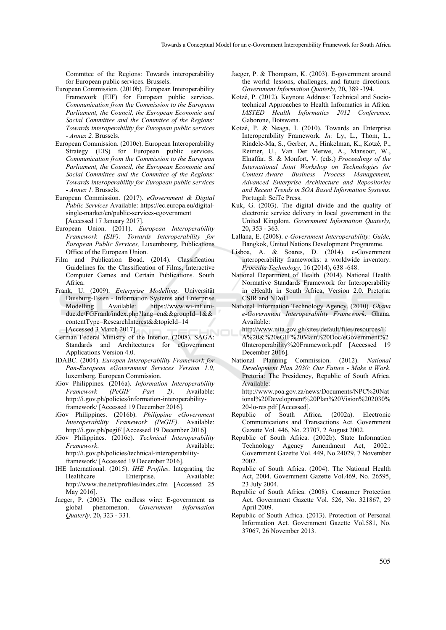Commttee of the Regions: Towards interoperability for European public services. Brussels.

- European Commission. (2010b). European Interoperability Framework (EIF) for European public services. *Communication from the Commission to the European Parliament, the Council, the European Economic and Social Committee and the Commttee of the Regions: Towards interoperability for European public services - Annex 2.* Brussels.
- European Commission. (2010c). European Interoperability Strategy (EIS) for European public services. *Communication from the Commission to the European Parliament, the Council, the European Economic and Social Committee and the Commttee of the Regions: Towards interoperability for European public services - Annex 1.* Brussels.
- European Commission. (2017). *eGovernment & Digital Public Services* Available: https://ec.europa.eu/digitalsingle-market/en/public-services-egovernment [Accessed 17 January 2017].
- European Union. (2011). *European Interoperability Framework (EIF): Towards Interoperability for European Public Services,* Luxembourg, Publications Office of the European Union.
- Film and Publication Boad. (2014). Classification Guidelines for the Classification of Films, Interactive Computer Games and Certain Publications. South Africa.
- Frank, U. (2009). *Enterprise Modelling*. Universität Duisburg-Essen - Information Systems and Enterprise Modelling Available: https://www.wi-inf.unidue.de/FGFrank/index.php?lang=en&&groupId=1&& contentType=ResearchInterest&&topicId=14 [Accessed 3 March 2017].
- German Federal Ministry of the Interior. (2008). SAGA: Standards and Architectures for eGovernment Applications Version 4.0.
- IDABC. (2004). *Europen Interoperability Framework for Pan-European eGovernment Services Version 1.0,*  luxemborg, European Commission.
- iGov Philippines. (2016a). *Information Interoperability Framework (PeGIF Part 2)*. Available: http://i.gov.ph/policies/information-interoperabilityframework/ [Accessed 19 December 2016].
- iGov Philippines. (2016b). *Philippine eGovernment Interoperability Framework (PeGIF)*. Available: http://i.gov.ph/pegif/ [Accessed 19 December 2016].
- iGov Philippines. (2016c). *Technical Interoperability Framework.* Available: http://i.gov.ph/policies/technical-interoperabilityframework/ [Accessed 19 December 2016].
- IHE International. (2015). *IHE Profiles*. Integrating the Healthcare Enterprise. Available: http://www.ihe.net/profiles/index.cfm [Accessed 25 May 2016].
- Jaeger, P. (2003). The endless wire: E-government as global phenomenon. *Government Information Quaterly,* 20**,** 323 - 331.
- Jaeger, P. & Thompson, K. (2003). E-government around the world: lessons, challenges, and future directions. *Government Information Quaterly,* 20**,** 389 -394.
- Kotzé, P. (2012). Keynote Address: Technical and Sociotechnical Approaches to Health Informatics in Africa. *IASTED Health Informatics 2012 Conference.* Gaborone, Botswana.
- Kotzé, P. & Neaga, I. (2010). Towards an Enterprise Interoperability Framework. *In:* Ly, L., Thom, L., Rindele-Ma, S., Gerber, A., Hinkelman, K., Kotzé, P., Reimer, U., Van Der Merwe, A., Mansoor, W., Elnaffar, S. & Monfort, V. (eds.) *Proceedings of the International Joint Workshop on Technologies for Context-Aware Business Process Management, Advanced Enterprise Architecture and Repositories and Recent Trends in SOA Based Information Systems.* Portugal: SciTe Press.
- Kuk, G. (2003). The digital divide and the quality of electronic service delivery in local government in the United Kingdom. *Government Information Quaterly,* 20**,** 353 - 363.
- Lallana, E. (2008). *e-Government Interoperability: Guide,*  Bangkok, United Nations Development Programme.
- Lisboa, A. & Soares, D. (2014). e-Government interoperability frameworks: a worldwide inventory. *Procedia Technology,* 16 (2014)**,** 638 -648.
- National Department of Health. (2014). National Health Normative Standards Framework for Interoperability in eHealth in South Africa, Version 2.0. Pretoria: CSIR and NDoH.
- National Information Technology Agency. (2010). *Ghana e-Government Interoperability Framework*. Ghana. Available:
- http://www.nita.gov.gh/sites/default/files/resources/E A%20&%20eGIF%20Main%20Doc/eGovernment%2 0Interoperability%20Framework.pdf [Accessed 19 December 2016].
- National Planning Commission. (2012). *National Development Plan 2030: Our Future - Make it Work*. Pretoria: The Presidency, Republic of South Africa. Available:

http://www.poa.gov.za/news/Documents/NPC%20Nat ional%20Development%20Plan%20Vision%202030% 20-lo-res.pdf [Accessed].

- Republic of South Africa. (2002a). Electronic Communications and Transactions Act. Government Gazette Vol. 446, No. 23707, 2 August 2002.
- Republic of South Africa. (2002b). State Information Technology Agency Amendment Act, 2002.: Government Gazette Vol. 449, No.24029, 7 November 2002.
- Republic of South Africa. (2004). The National Health Act, 2004. Government Gazette Vol.469, No. 26595, 23 July 2004.
- Republic of South Africa. (2008). Consumer Protection Act. Government Gazette Vol. 526, No. 321867, 29 April 2009.
- Republic of South Africa. (2013). Protection of Personal Information Act. Government Gazette Vol.581, No. 37067, 26 November 2013.